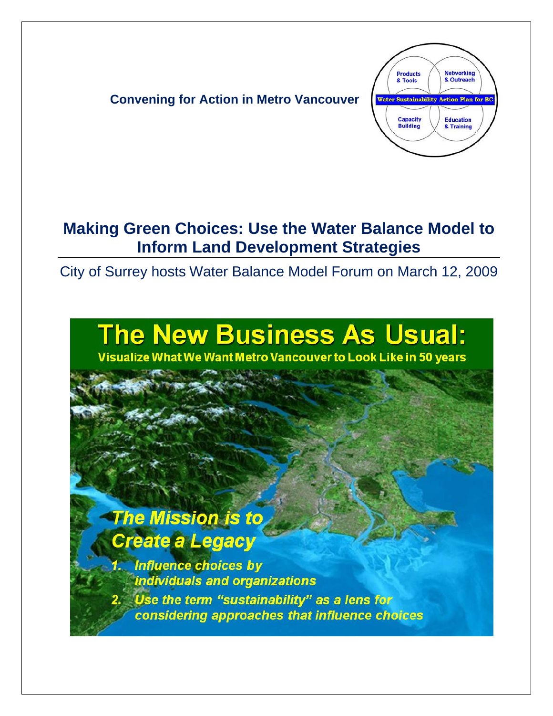

### **Making Green Choices: Use the Water Balance Model to Inform Land Development Strategies**

City of Surrey hosts Water Balance Model Forum on March 12, 2009

# **The New Business As Usual:**

Visualize What We Want Metro Vancouver to Look Like in 50 years

## **The Mission is to** Create a Legacy

**Influence choices by** individuals and organizations Use the term "sustainability" as a lens for considering approaches that influence choices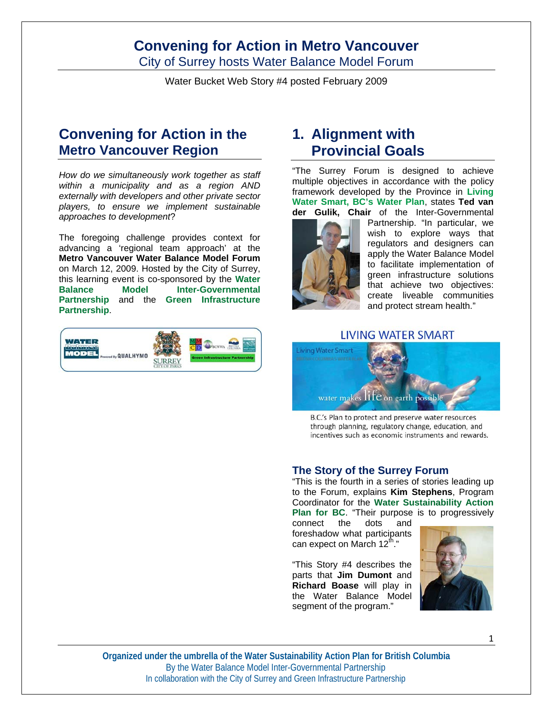City of Surrey hosts Water Balance Model Forum

Water Bucket Web Story #4 posted February 2009

### **Convening for Action in the Metro Vancouver Region**

*How do we simultaneously work together as staff within a municipality and as a region AND externally with developers and other private sector players, to ensure we implement sustainable approaches to development*?

The foregoing challenge provides context for advancing a 'regional team approach' at the **Metro Vancouver Water Balance Model Forum** on March 12, 2009. Hosted by the City of Surrey, this learning event is co-sponsored by the **Water Balance Model Inter-Governmental Partnership** and the **Green Infrastructure Partnership**.



### **1. Alignment with Provincial Goals**

"The Surrey Forum is designed to achieve multiple objectives in accordance with the policy framework developed by the Province in **Living Water Smart, BC's Water Plan**, states **Ted van der Gulik, Chair** of the Inter-Governmental



Partnership. "In particular, we wish to explore ways that regulators and designers can apply the Water Balance Model to facilitate implementation of green infrastructure solutions that achieve two objectives: create liveable communities and protect stream health."

#### LIVING WATER SMART



B.C.'s Plan to protect and preserve water resources through planning, regulatory change, education, and incentives such as economic instruments and rewards.

#### **The Story of the Surrey Forum**

"This is the fourth in a series of stories leading up to the Forum, explains **Kim Stephens**, Program Coordinator for the **Water Sustainability Action Plan for BC**. "Their purpose is to progressively

connect the dots and foreshadow what participants can expect on March  $12^{\text{th}}$ ."

"This Story #4 describes the parts that **Jim Dumont** and **Richard Boase** will play in the Water Balance Model segment of the program."



**Organized under the umbrella of the Water Sustainability Action Plan for British Columbia**  By the Water Balance Model Inter-Governmental Partnership In collaboration with the City of Surrey and Green Infrastructure Partnership

1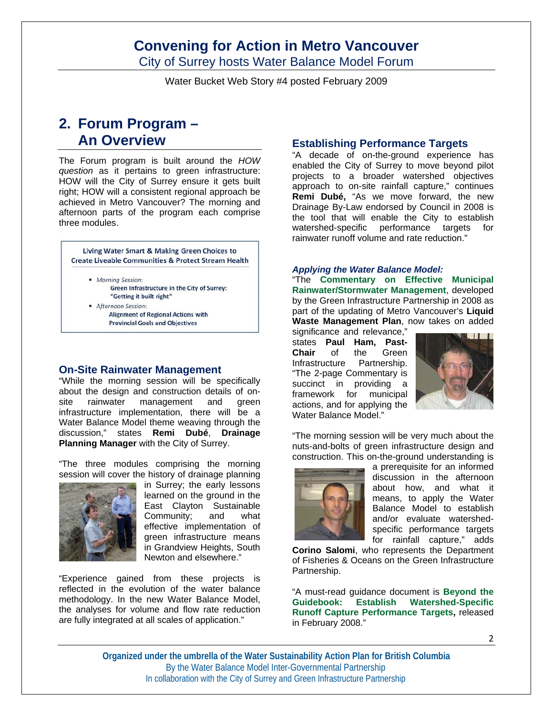City of Surrey hosts Water Balance Model Forum

Water Bucket Web Story #4 posted February 2009

### **2. Forum Program – An Overview**

The Forum program is built around the *HOW question* as it pertains to green infrastructure: HOW will the City of Surrey ensure it gets built right; HOW will a consistent regional approach be achieved in Metro Vancouver? The morning and afternoon parts of the program each comprise three modules.



**Alignment of Regional Actions with Provincial Goals and Objectives** 

#### **On-Site Rainwater Management**

"While the morning session will be specifically about the design and construction details of onsite rainwater management and green infrastructure implementation, there will be a Water Balance Model theme weaving through the discussion," states **Remi Dubé**, **Drainage Planning Manager** with the City of Surrey.

"The three modules comprising the morning session will cover the history of drainage planning



in Surrey; the early lessons learned on the ground in the East Clayton Sustainable Community; and what effective implementation of green infrastructure means in Grandview Heights, South Newton and elsewhere."

"Experience gained from these projects is reflected in the evolution of the water balance methodology. In the new Water Balance Model, the analyses for volume and flow rate reduction are fully integrated at all scales of application."

#### **Establishing Performance Targets**

"A decade of on-the-ground experience has enabled the City of Surrey to move beyond pilot projects to a broader watershed objectives approach to on-site rainfall capture," continues **Remi Dubé,** "As we move forward, the new Drainage By-Law endorsed by Council in 2008 is the tool that will enable the City to establish watershed-specific performance targets for rainwater runoff volume and rate reduction."

#### *Applying the Water Balance Model:*

"The **Commentary on Effective Municipal Rainwater/Stormwater Management**, developed by the Green Infrastructure Partnership in 2008 as part of the updating of Metro Vancouver's **Liquid Waste Management Plan**, now takes on added

significance and relevance." states **Paul Ham, Past-Chair** of the Green Infrastructure Partnership. "The 2-page Commentary is succinct in providing a framework for municipal actions, and for applying the Water Balance Model."



"The morning session will be very much about the nuts-and-bolts of green infrastructure design and construction. This on-the-ground understanding is



a prerequisite for an informed discussion in the afternoon about how, and what it means, to apply the Water Balance Model to establish and/or evaluate watershedspecific performance targets for rainfall capture," adds

**Corino Salomi**, who represents the Department of Fisheries & Oceans on the Green Infrastructure Partnership.

"A must-read guidance document is **Beyond the Guidebook: Establish Watershed-Specific Runoff Capture Performance Targets,** released in February 2008."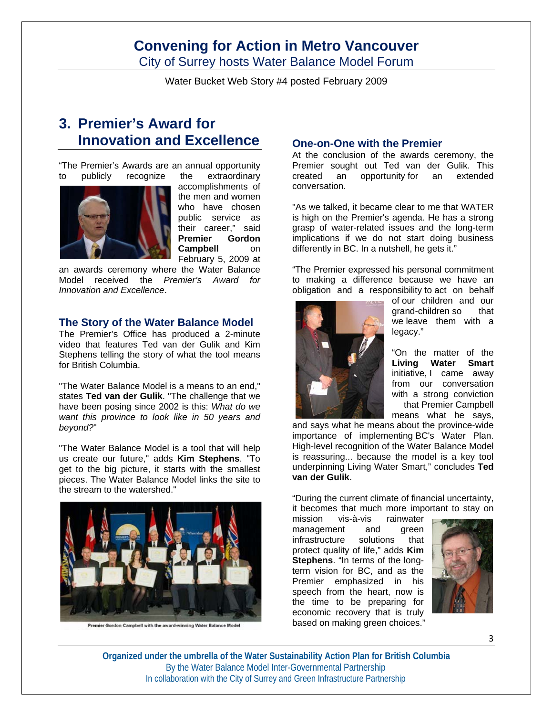City of Surrey hosts Water Balance Model Forum

Water Bucket Web Story #4 posted February 2009

### **3. Premier's Award for Innovation and Excellence**

"The Premier's Awards are an annual opportunity to publicly recognize the extraordinary



accomplishments of the men and women who have chosen public service as their career," said **Premier Gordon Campbell** on February 5, 2009 at

an awards ceremony where the Water Balance Model received the *Premier's Award for Innovation and Excellence*.

#### **The Story of the Water Balance Model**

The Premier's Office has produced a 2-minute video that features Ted van der Gulik and Kim Stephens telling the story of what the tool means for British Columbia.

"The Water Balance Model is a means to an end," states **Ted van der Gulik**. "The challenge that we have been posing since 2002 is this: *What do we want this province to look like in 50 years and beyond?*"

"The Water Balance Model is a tool that will help us create our future," adds **Kim Stephens**. "To get to the big picture, it starts with the smallest pieces. The Water Balance Model links the site to the stream to the watershed."



Premier Gordon Campbell with the award-winning Water Balance Model

#### **One-on-One with the Premier**

At the conclusion of the awards ceremony, the Premier sought out Ted van der Gulik. This<br>created an opportunity for an extended opportunity for an extended conversation.

"As we talked, it became clear to me that WATER is high on the Premier's agenda. He has a strong grasp of water-related issues and the long-term implications if we do not start doing business differently in BC. In a nutshell, he gets it."

"The Premier expressed his personal commitment to making a difference because we have an obligation and a responsibility to act on behalf



of our children and our grand-children so that we leave them with a legacy."

"On the matter of the **Living Water Smart** initiative, I came away from our conversation with a strong conviction that Premier Campbell means what he says,

and says what he means about the province-wide importance of implementing BC's Water Plan. High-level recognition of the Water Balance Model is reassuring... because the model is a key tool underpinning Living Water Smart," concludes **Ted van der Gulik**.

"During the current climate of financial uncertainty, it becomes that much more important to stay on

mission vis-à-vis rainwater management and green infrastructure solutions that protect quality of life," adds **Kim Stephens**. "In terms of the longterm vision for BC, and as the Premier emphasized in his speech from the heart, now is the time to be preparing for economic recovery that is truly based on making green choices."

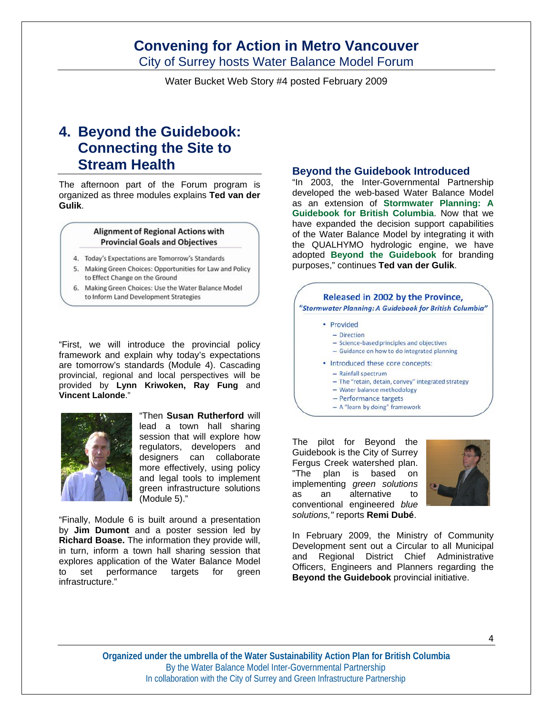City of Surrey hosts Water Balance Model Forum

Water Bucket Web Story #4 posted February 2009

### **4. Beyond the Guidebook: Connecting the Site to Stream Health**

The afternoon part of the Forum program is organized as three modules explains **Ted van der Gulik**.

#### **Alignment of Regional Actions with Provincial Goals and Objectives**

- 4. Today's Expectations are Tomorrow's Standards
- 5. Making Green Choices: Opportunities for Law and Policy to Effect Change on the Ground
- 6. Making Green Choices: Use the Water Balance Model to Inform Land Development Strategies

"First, we will introduce the provincial policy framework and explain why today's expectations are tomorrow's standards (Module 4). Cascading provincial, regional and local perspectives will be provided by **Lynn Kriwoken, Ray Fung** and **Vincent Lalonde**."



"Then **Susan Rutherford** will lead a town hall sharing session that will explore how regulators, developers and designers can collaborate more effectively, using policy and legal tools to implement green infrastructure solutions (Module 5)."

"Finally, Module 6 is built around a presentation by **Jim Dumont** and a poster session led by **Richard Boase.** The information they provide will, in turn, inform a town hall sharing session that explores application of the Water Balance Model to set performance targets for green infrastructure."

#### **Beyond the Guidebook Introduced**

"In 2003, the Inter-Governmental Partnership developed the web-based Water Balance Model as an extension of **Stormwater Planning: A Guidebook for British Columbia**. Now that we have expanded the decision support capabilities of the Water Balance Model by integrating it with the QUALHYMO hydrologic engine, we have adopted **Beyond the Guidebook** for branding purposes," continues **Ted van der Gulik**.

#### Released in 2002 by the Province, "Stormwater Planning: A Guidebook for British Columbia" • Provided - Direction - Science-based principles and objectives - Guidance on how to do integrated planning • Introduced these core concepts:  $-$  Rainfall spectrum - The "retain, detain, convey" integrated strategy - Water balance methodology

- 
- Performance targets
- A "learn by doing" framework

The pilot for Beyond the Guidebook is the City of Surrey Fergus Creek watershed plan. "The plan is based on implementing *green solutions* as an alternative to conventional engineered *blue solutions,"* reports **Remi Dubé**.



In February 2009, the Ministry of Community Development sent out a Circular to all Municipal and Regional District Chief Administrative Officers, Engineers and Planners regarding the **Beyond the Guidebook** provincial initiative.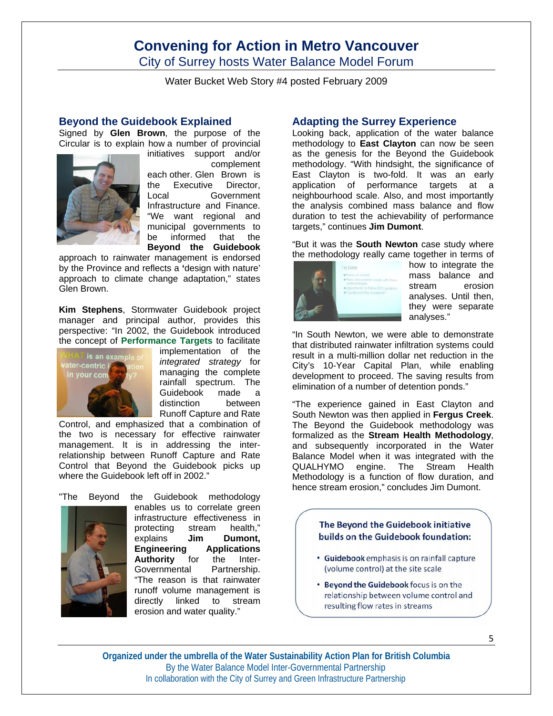City of Surrey hosts Water Balance Model Forum

Water Bucket Web Story #4 posted February 2009

#### **Beyond the Guidebook Explained**

Signed by **Glen Brown**, the purpose of the Circular is to explain how a number of provincial



initiatives support and/or complement each other. Glen Brown is the Executive Director, Local Government Infrastructure and Finance. "We want regional and municipal governments to be informed that the

**Beyond the Guidebook**  approach to rainwater management is endorsed by the Province and reflects a **'**design with nature' approach to climate change adaptation," states Glen Brown.

**Kim Stephens**, Stormwater Guidebook project manager and principal author, provides this perspective: "In 2002, the Guidebook introduced the concept of **Performance Targets** to facilitate



implementation of the *integrated strategy* for managing the complete rainfall spectrum. The Guidebook made a distinction between Runoff Capture and Rate

Control, and emphasized that a combination of the two is necessary for effective rainwater management. It is in addressing the interrelationship between Runoff Capture and Rate Control that Beyond the Guidebook picks up where the Guidebook left off in 2002."



"The Beyond the Guidebook methodology enables us to correlate green infrastructure effectiveness in protecting stream health," explains **Jim Dumont, Engineering Applications Authority** for the Inter-Governmental Partnership. "The reason is that rainwater runoff volume management is directly linked to stream erosion and water quality."

#### **Adapting the Surrey Experience**

Looking back, application of the water balance methodology to **East Clayton** can now be seen as the genesis for the Beyond the Guidebook methodology. "With hindsight, the significance of East Clayton is two-fold. It was an early application of performance targets at a neighbourhood scale. Also, and most importantly the analysis combined mass balance and flow duration to test the achievability of performance targets," continues **Jim Dumont**.

"But it was the **South Newton** case study where the methodology really came together in terms of



how to integrate the mass balance and stream erosion analyses. Until then, they were separate analyses."

"In South Newton, we were able to demonstrate that distributed rainwater infiltration systems could result in a multi-million dollar net reduction in the City's 10-Year Capital Plan, while enabling development to proceed. The saving results from elimination of a number of detention ponds."

"The experience gained in East Clayton and South Newton was then applied in **Fergus Creek**. The Beyond the Guidebook methodology was formalized as the **Stream Health Methodology**, and subsequently incorporated in the Water Balance Model when it was integrated with the QUALHYMO engine. The Stream Health Methodology is a function of flow duration, and hence stream erosion," concludes Jim Dumont.

#### The Bevond the Guidebook initiative builds on the Guidebook foundation:

- · Guidebook emphasis is on rainfall capture (volume control) at the site scale
- . Beyond the Guidebook focus is on the relationship between volume control and resulting flow rates in streams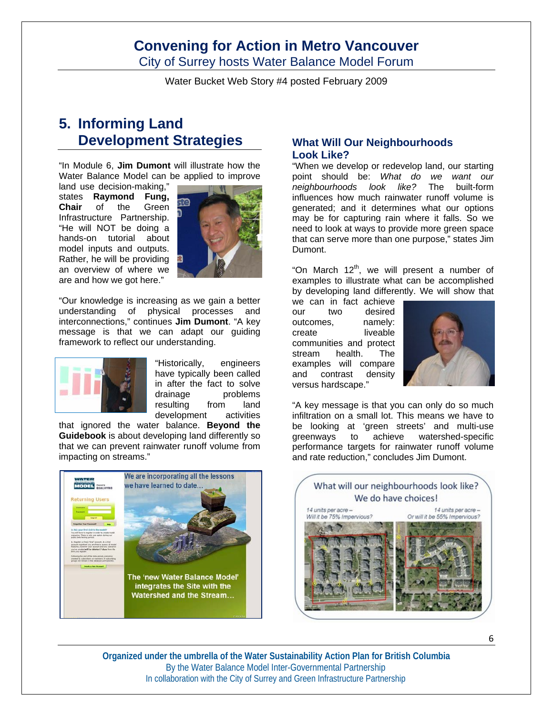City of Surrey hosts Water Balance Model Forum

Water Bucket Web Story #4 posted February 2009

### **5. Informing Land Development Strategies**

"In Module 6, **Jim Dumont** will illustrate how the Water Balance Model can be applied to improve

land use decision-making," states **Raymond Fung, Chair** of the Green Infrastructure Partnership. "He will NOT be doing a hands-on tutorial about model inputs and outputs. Rather, he will be providing an overview of where we are and how we got here."



"Our knowledge is increasing as we gain a better understanding of physical processes and interconnections," continues **Jim Dumont**. "A key message is that we can adapt our guiding framework to reflect our understanding.



"Historically, engineers have typically been called in after the fact to solve drainage problems resulting from land development activities

that ignored the water balance. **Beyond the Guidebook** is about developing land differently so that we can prevent rainwater runoff volume from impacting on streams."



#### **What Will Our Neighbourhoods Look Like?**

"When we develop or redevelop land, our starting point should be: *What do we want our neighbourhoods look like?* The built-form influences how much rainwater runoff volume is generated; and it determines what our options may be for capturing rain where it falls. So we need to look at ways to provide more green space that can serve more than one purpose," states Jim Dumont.

"On March 12<sup>th</sup>, we will present a number of examples to illustrate what can be accomplished by developing land differently. We will show that

we can in fact achieve our two desired outcomes, namely: create liveable communities and protect stream health. The examples will compare and contrast density versus hardscape."



"A key message is that you can only do so much infiltration on a small lot. This means we have to be looking at 'green streets' and multi-use greenways to achieve watershed-specific performance targets for rainwater runoff volume and rate reduction," concludes Jim Dumont.

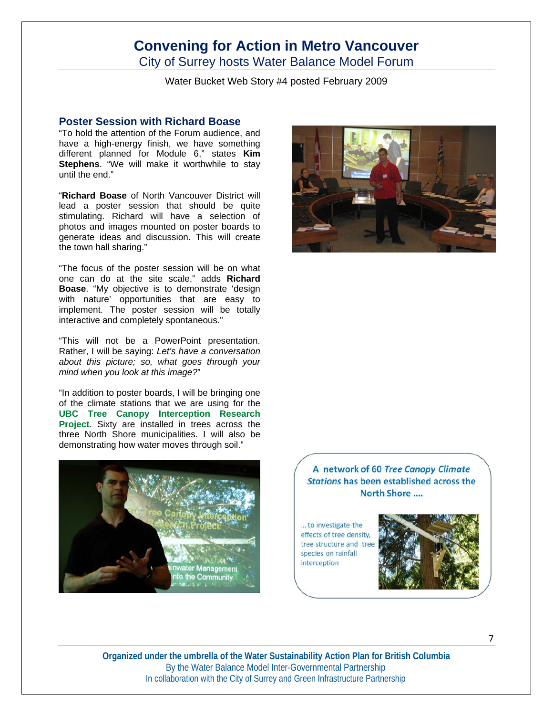City of Surrey hosts Water Balance Model Forum

Water Bucket Web Story #4 posted February 2009

#### **Poster Session with Richard Boase**

"To hold the attention of the Forum audience, and have a high-energy finish, we have something different planned for Module 6," states **Kim Stephens**. "We will make it worthwhile to stay until the end."

"**Richard Boase** of North Vancouver District will lead a poster session that should be quite stimulating. Richard will have a selection of photos and images mounted on poster boards to generate ideas and discussion. This will create the town hall sharing."

"The focus of the poster session will be on what one can do at the site scale," adds **Richard Boase**. "My objective is to demonstrate 'design with nature' opportunities that are easy to implement. The poster session will be totally interactive and completely spontaneous."

"This will not be a PowerPoint presentation. Rather, I will be saying: *Let's have a conversation about this picture; so, what goes through your mind when you look at this image?*"

"In addition to poster boards, I will be bringing one of the climate stations that we are using for the **UBC Tree Canopy Interception Research Project**. Sixty are installed in trees across the three North Shore municipalities. I will also be demonstrating how water moves through soil."





A network of 60 Tree Canopy Climate Stations has been established across the North Shore ....

... to investigate the effects of tree density, tree structure and tree species on rainfall interception

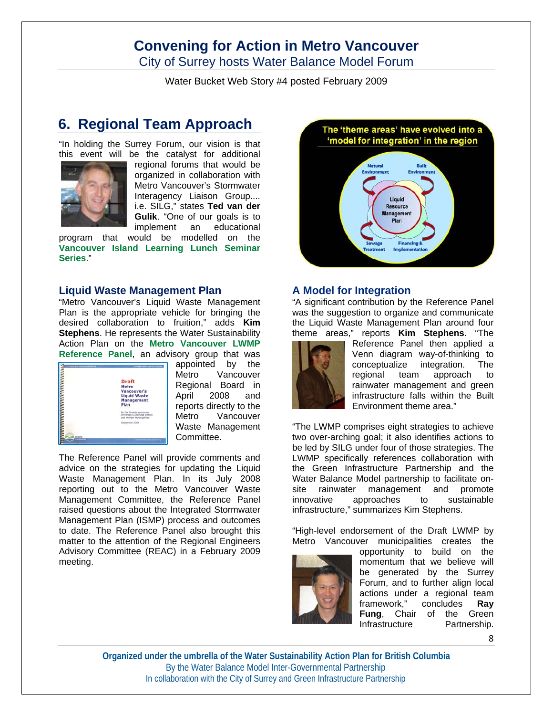City of Surrey hosts Water Balance Model Forum

Water Bucket Web Story #4 posted February 2009

### **6. Regional Team Approach**

"In holding the Surrey Forum, our vision is that this event will be the catalyst for additional



regional forums that would be organized in collaboration with Metro Vancouver's Stormwater Interagency Liaison Group.... i.e. SILG," states **Ted van der Gulik**. "One of our goals is to implement an educational

program that would be modelled on the **Vancouver Island Learning Lunch Seminar Series**."

#### **Liquid Waste Management Plan**

"Metro Vancouver's Liquid Waste Management Plan is the appropriate vehicle for bringing the desired collaboration to fruition," adds **Kim Stephens**. He represents the Water Sustainability Action Plan on the **Metro Vancouver LWMP Reference Panel**, an advisory group that was



appointed by the Metro Vancouver Regional Board in April 2008 and reports directly to the Metro Vancouver Waste Management Committee.

The Reference Panel will provide comments and advice on the strategies for updating the Liquid Waste Management Plan. In its July 2008 reporting out to the Metro Vancouver Waste Management Committee, the Reference Panel raised questions about the Integrated Stormwater Management Plan (ISMP) process and outcomes to date. The Reference Panel also brought this matter to the attention of the Regional Engineers Advisory Committee (REAC) in a February 2009 meeting.



#### **A Model for Integration**

"A significant contribution by the Reference Panel was the suggestion to organize and communicate the Liquid Waste Management Plan around four theme areas," reports **Kim Stephens**. "The



Reference Panel then applied a Venn diagram way-of-thinking to conceptualize integration. The regional team approach to rainwater management and green infrastructure falls within the Built Environment theme area."

"The LWMP comprises eight strategies to achieve two over-arching goal; it also identifies actions to be led by SILG under four of those strategies. The LWMP specifically references collaboration with the Green Infrastructure Partnership and the Water Balance Model partnership to facilitate onsite rainwater management and promote innovative approaches to sustainable infrastructure," summarizes Kim Stephens.

"High-level endorsement of the Draft LWMP by Metro Vancouver municipalities creates the



opportunity to build on the momentum that we believe will be generated by the Surrey Forum, and to further align local actions under a regional team framework," concludes **Ray Fung**, Chair of the Green<br>Infrastructure Partnership. **Infrastructure** 

8